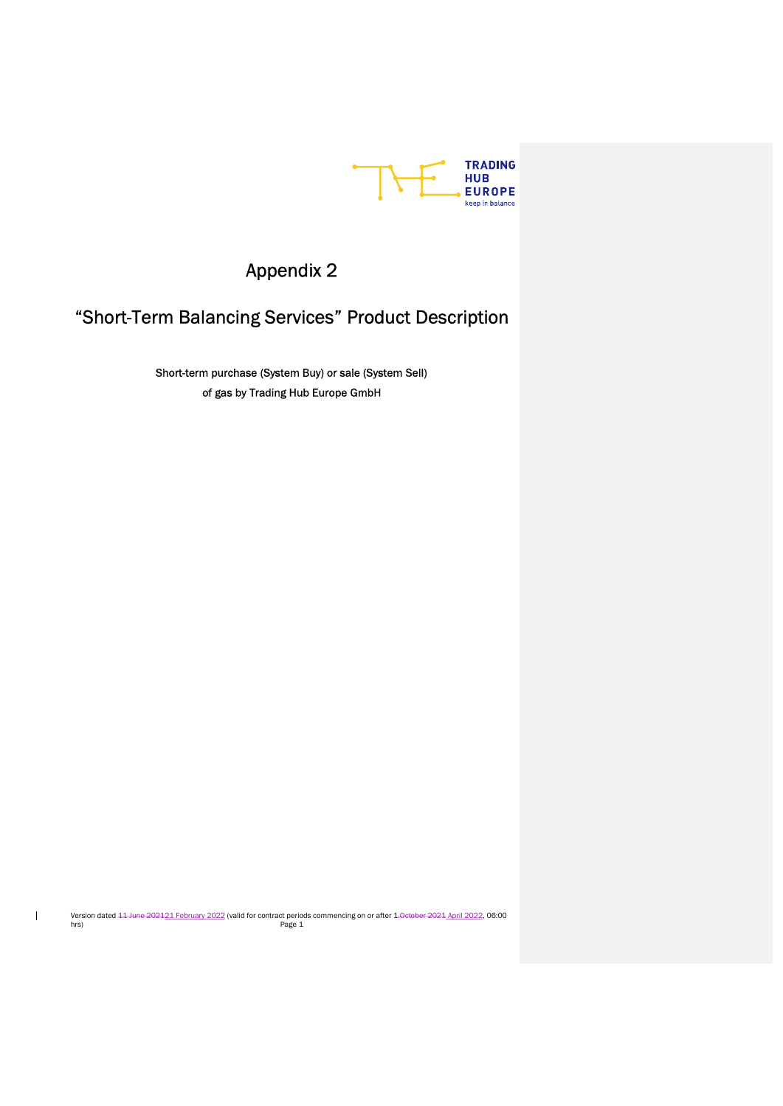

# Appendix 2

# "Short-Term Balancing Services" Product Description

Short-term purchase (System Buy) or sale (System Sell) of gas by Trading Hub Europe GmbH

Version dated <del>11 June 2021</del>21 February 2022 (valid for contract periods commencing on or after 1<del>.0ctober 2021</del> April 2022, 06:00<br>Page 1

 $\mathbf{I}$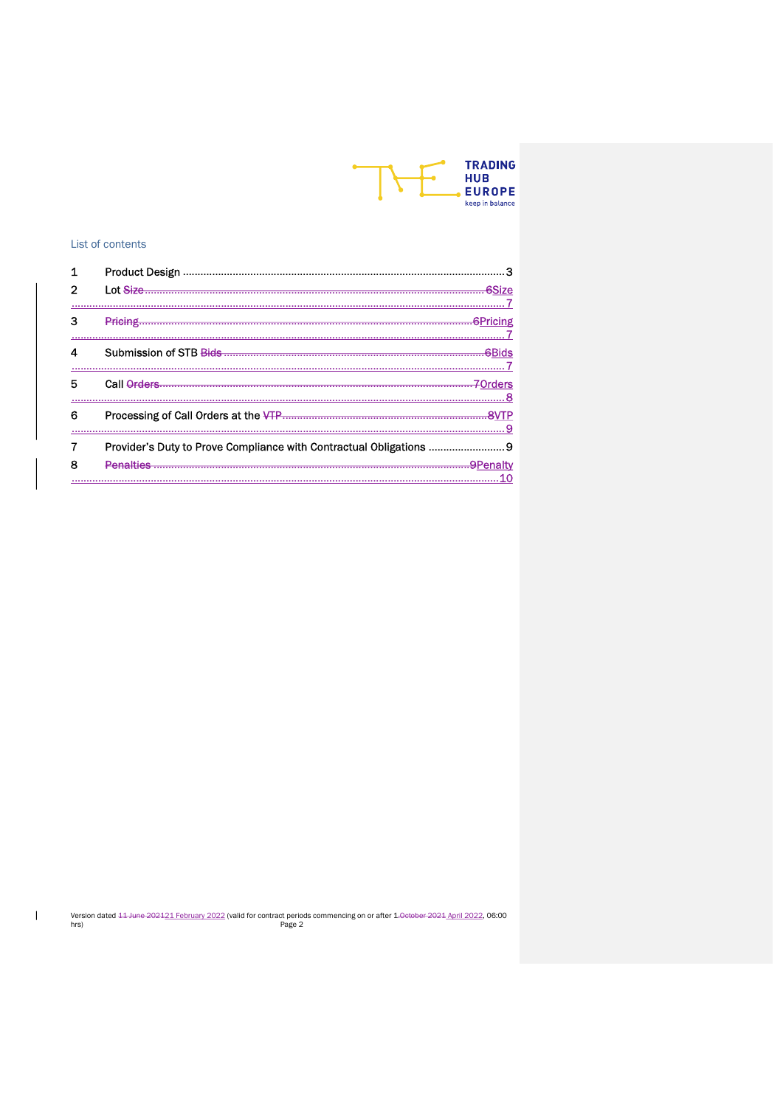

### List of contents

 $\mathbb T$ 

| 1 |                                                                  |
|---|------------------------------------------------------------------|
| 2 |                                                                  |
|   |                                                                  |
| з |                                                                  |
|   |                                                                  |
| 5 |                                                                  |
| 6 |                                                                  |
|   | Provider's Duty to Prove Compliance with Contractual Obligations |
|   | <b>Denalties</b>                                                 |
|   | 10                                                               |

Version dated 44 June 202421 February 2022 (valid for contract periods commencing on or after 1.0eteber 2024 April 2022, 06:00 hrs)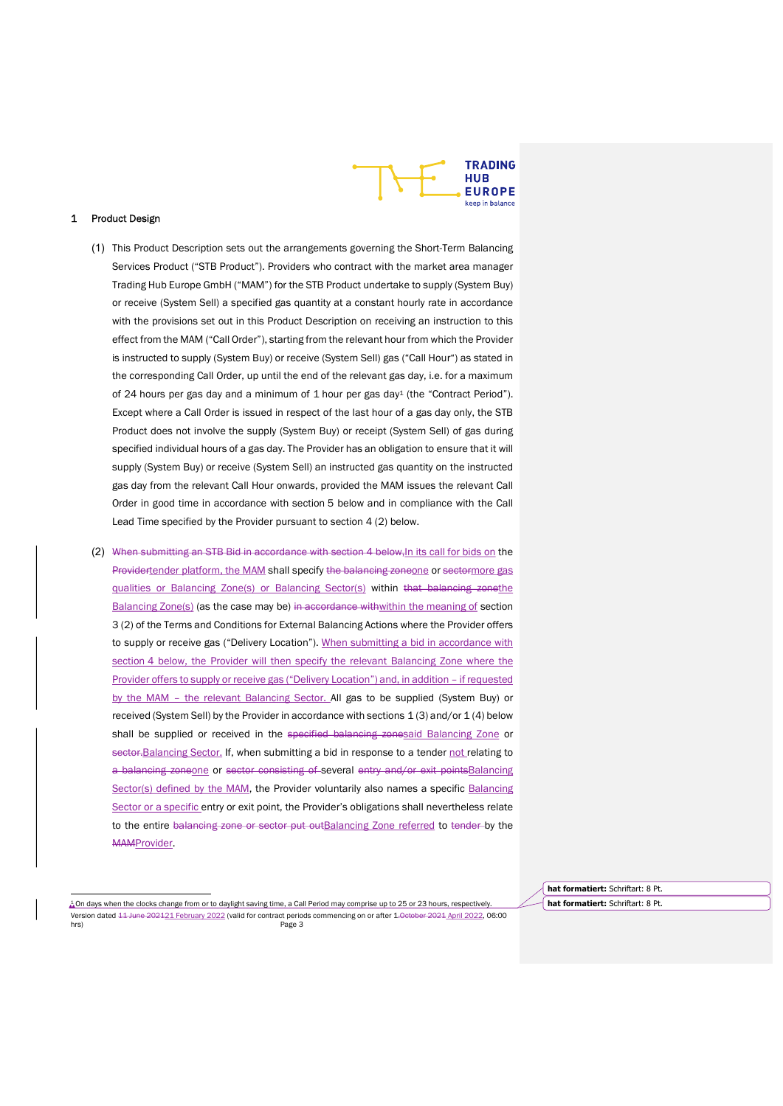

#### 1 Product Design

- (1) This Product Description sets out the arrangements governing the Short-Term Balancing Services Product ("STB Product"). Providers who contract with the market area manager Trading Hub Europe GmbH ("MAM") for the STB Product undertake to supply (System Buy) or receive (System Sell) a specified gas quantity at a constant hourly rate in accordance with the provisions set out in this Product Description on receiving an instruction to this effect from the MAM ("Call Order"), starting from the relevant hour from which the Provider is instructed to supply (System Buy) or receive (System Sell) gas ("Call Hour") as stated in the corresponding Call Order, up until the end of the relevant gas day, i.e. for a maximum of 24 hours per gas day and a minimum of 1 hour per gas day<sup>1</sup> (the "Contract Period"). Except where a Call Order is issued in respect of the last hour of a gas day only, the STB Product does not involve the supply (System Buy) or receipt (System Sell) of gas during specified individual hours of a gas day. The Provider has an obligation to ensure that it will supply (System Buy) or receive (System Sell) an instructed gas quantity on the instructed gas day from the relevant Call Hour onwards, provided the MAM issues the relevant Call Order in good time in accordance with section 5 below and in compliance with the Call Lead Time specified by the Provider pursuant to section 4 (2) below.
- (2) When submitting an STB Bid in accordance with section 4 below, In its call for bids on the Providertender platform, the MAM shall specify the balancing zoneone or sectormore gas qualities or Balancing Zone(s) or Balancing Sector(s) within that balancing zonethe Balancing Zone(s) (as the case may be) in accordance withwithin the meaning of section 3 (2) of the Terms and Conditions for External Balancing Actions where the Provider offers to supply or receive gas ("Delivery Location"). When submitting a bid in accordance with section 4 below, the Provider will then specify the relevant Balancing Zone where the Provider offers to supply or receive gas ("Delivery Location") and, in addition – if requested by the MAM - the relevant Balancing Sector. All gas to be supplied (System Buy) or received (System Sell) by the Provider in accordance with sections 1 (3) and/or 1 (4) below shall be supplied or received in the specified balancing zonesaid Balancing Zone or sector. Balancing Sector. If, when submitting a bid in response to a tender not relating to a balancing zoneone or sector consisting of several entry and/or exit pointsBalancing Sector(s) defined by the MAM, the Provider voluntarily also names a specific Balancing Sector or a specific entry or exit point, the Provider's obligations shall nevertheless relate to the entire balancing zone or sector put outBalancing Zone referred to tender by the MAMProvider.

Version dated 11 June 202121 February 2022 (valid for contract periods commencing on or after 1.0 et bere 2021 April 2022, 06:00 hrs) Page 3 1 On days when the clocks change from or to daylight saving time, a Call Period may comprise up to 25 or 23 hours, respectively.

hat formatiert: Schriftart: 8 Pt. hat formatiert: Schriftart: 8 Pt.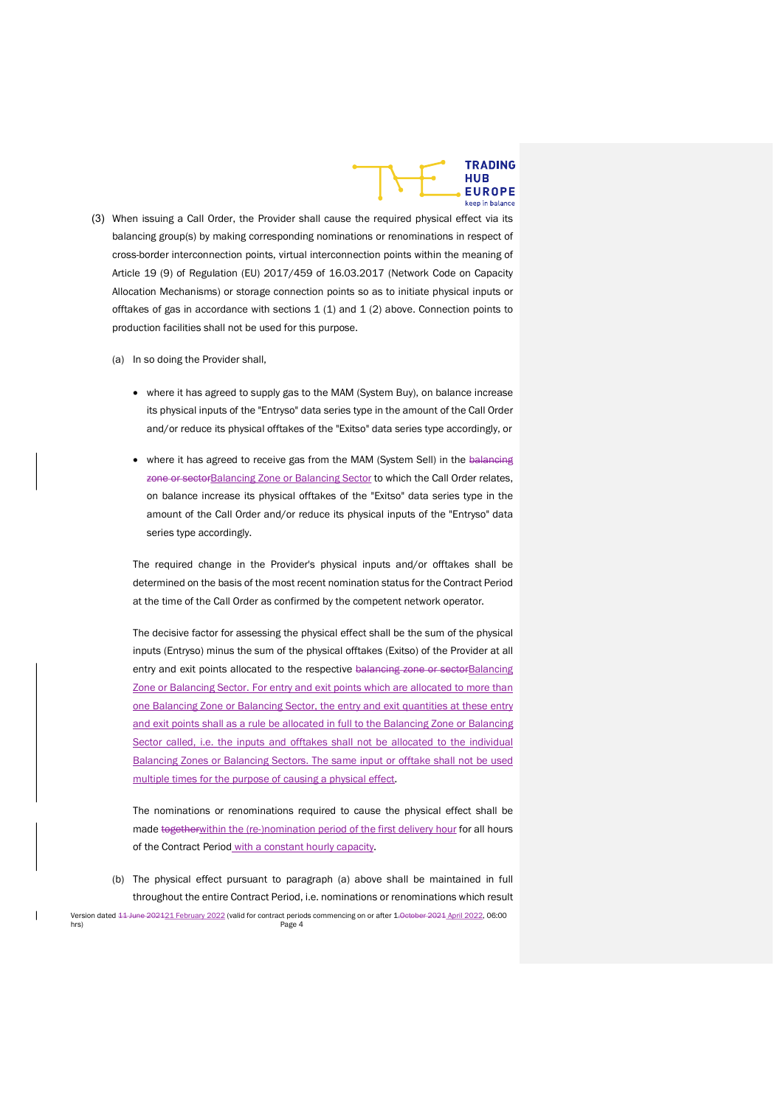

- (3) When issuing a Call Order, the Provider shall cause the required physical effect via its balancing group(s) by making corresponding nominations or renominations in respect of cross-border interconnection points, virtual interconnection points within the meaning of Article 19 (9) of Regulation (EU) 2017/459 of 16.03.2017 (Network Code on Capacity Allocation Mechanisms) or storage connection points so as to initiate physical inputs or offtakes of gas in accordance with sections  $1 (1)$  and  $1 (2)$  above. Connection points to production facilities shall not be used for this purpose.
	- (a) In so doing the Provider shall,
		- where it has agreed to supply gas to the MAM (System Buy), on balance increase its physical inputs of the "Entryso" data series type in the amount of the Call Order and/or reduce its physical offtakes of the "Exitso" data series type accordingly, or
		- where it has agreed to receive gas from the MAM (System Sell) in the balaneing zone or sectorBalancing Zone or Balancing Sector to which the Call Order relates, on balance increase its physical offtakes of the "Exitso" data series type in the amount of the Call Order and/or reduce its physical inputs of the "Entryso" data series type accordingly.

The required change in the Provider's physical inputs and/or offtakes shall be determined on the basis of the most recent nomination status for the Contract Period at the time of the Call Order as confirmed by the competent network operator.

The decisive factor for assessing the physical effect shall be the sum of the physical inputs (Entryso) minus the sum of the physical offtakes (Exitso) of the Provider at all entry and exit points allocated to the respective balancing zone or sectorBalancing Zone or Balancing Sector. For entry and exit points which are allocated to more than one Balancing Zone or Balancing Sector, the entry and exit quantities at these entry and exit points shall as a rule be allocated in full to the Balancing Zone or Balancing Sector called, i.e. the inputs and offtakes shall not be allocated to the individual Balancing Zones or Balancing Sectors. The same input or offtake shall not be used multiple times for the purpose of causing a physical effect.

The nominations or renominations required to cause the physical effect shall be made togetherwithin the (re-)nomination period of the first delivery hour for all hours of the Contract Period with a constant hourly capacity.

Version dated <del>11 June 202121 February 2022</del> (valid for contract periods commencing on or after 1.0ctober 2021 April 2022, 06:00 Page 4 (b) The physical effect pursuant to paragraph (a) above shall be maintained in full throughout the entire Contract Period, i.e. nominations or renominations which result

hrs) Page 4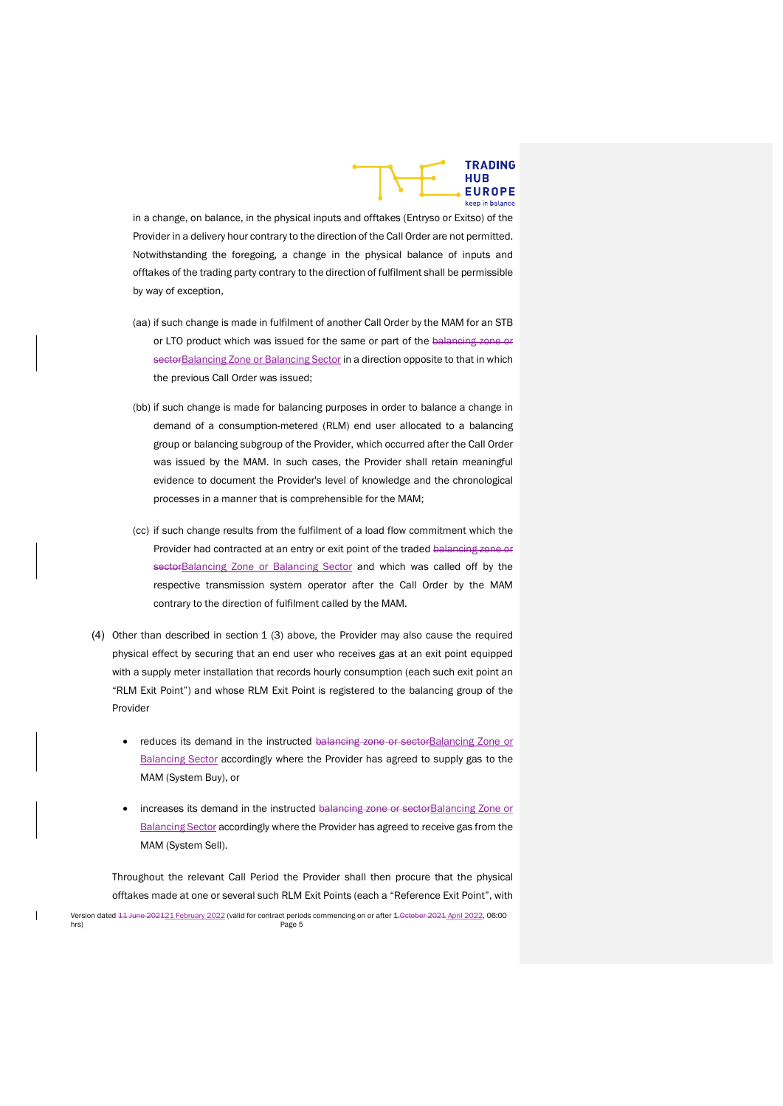

in a change, on balance, in the physical inputs and offtakes (Entryso or Exitso) of the Provider in a delivery hour contrary to the direction of the Call Order are not permitted. Notwithstanding the foregoing, a change in the physical balance of inputs and offtakes of the trading party contrary to the direction of fulfilment shall be permissible by way of exception,

- (aa) if such change is made in fulfilment of another Call Order by the MAM for an STB or LTO product which was issued for the same or part of the balancing zone or sectorBalancing Zone or Balancing Sector in a direction opposite to that in which the previous Call Order was issued;
- (bb) if such change is made for balancing purposes in order to balance a change in demand of a consumption-metered (RLM) end user allocated to a balancing group or balancing subgroup of the Provider, which occurred after the Call Order was issued by the MAM. In such cases, the Provider shall retain meaningful evidence to document the Provider's level of knowledge and the chronological processes in a manner that is comprehensible for the MAM;
- (cc) if such change results from the fulfilment of a load flow commitment which the Provider had contracted at an entry or exit point of the traded balancing zone or sectorBalancing Zone or Balancing Sector and which was called off by the respective transmission system operator after the Call Order by the MAM contrary to the direction of fulfilment called by the MAM.
- (4) Other than described in section 1 (3) above, the Provider may also cause the required physical effect by securing that an end user who receives gas at an exit point equipped with a supply meter installation that records hourly consumption (each such exit point an "RLM Exit Point") and whose RLM Exit Point is registered to the balancing group of the Provider
	- reduces its demand in the instructed balancing zone or sectorBalancing Zone or Balancing Sector accordingly where the Provider has agreed to supply gas to the MAM (System Buy), or
	- increases its demand in the instructed balancing zone or sectorBalancing Zone or Balancing Sector accordingly where the Provider has agreed to receive gas from the MAM (System Sell).

Version dated <del>11 June 202121 February 2022</del> (valid for contract periods commencing on or after 1.0ctober 2021 April 2022, 06:00 hrs) Page 5 Throughout the relevant Call Period the Provider shall then procure that the physical offtakes made at one or several such RLM Exit Points (each a "Reference Exit Point", with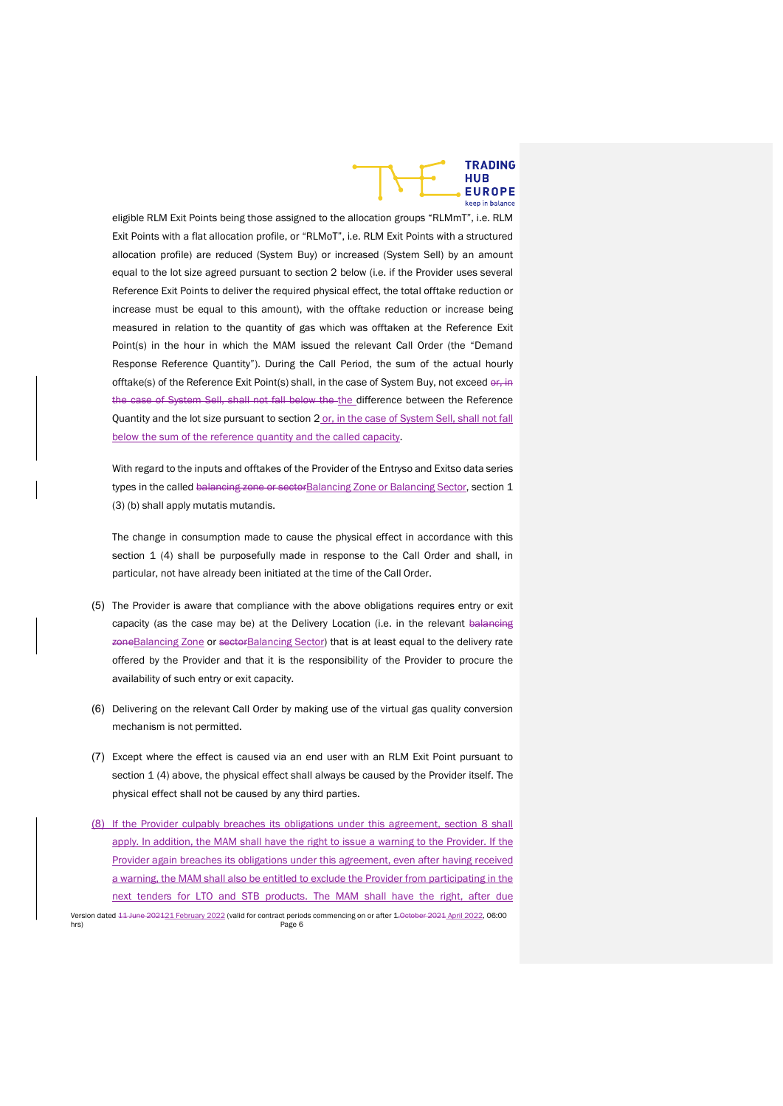

eligible RLM Exit Points being those assigned to the allocation groups "RLMmT", i.e. RLM Exit Points with a flat allocation profile, or "RLMoT", i.e. RLM Exit Points with a structured allocation profile) are reduced (System Buy) or increased (System Sell) by an amount equal to the lot size agreed pursuant to section 2 below (i.e. if the Provider uses several Reference Exit Points to deliver the required physical effect, the total offtake reduction or increase must be equal to this amount), with the offtake reduction or increase being measured in relation to the quantity of gas which was offtaken at the Reference Exit Point(s) in the hour in which the MAM issued the relevant Call Order (the "Demand Response Reference Quantity"). During the Call Period, the sum of the actual hourly offtake(s) of the Reference Exit Point(s) shall, in the case of System Buy, not exceed or, in the case of System Sell, shall not fall below the the difference between the Reference Quantity and the lot size pursuant to section 2 or, in the case of System Sell, shall not fall below the sum of the reference quantity and the called capacity.

With regard to the inputs and offtakes of the Provider of the Entryso and Exitso data series types in the called balancing zone or sectorBalancing Zone or Balancing Sector, section 1 (3) (b) shall apply mutatis mutandis.

The change in consumption made to cause the physical effect in accordance with this section 1 (4) shall be purposefully made in response to the Call Order and shall, in particular, not have already been initiated at the time of the Call Order.

- (5) The Provider is aware that compliance with the above obligations requires entry or exit capacity (as the case may be) at the Delivery Location (i.e. in the relevant balancing zoneBalancing Zone or sectorBalancing Sector) that is at least equal to the delivery rate offered by the Provider and that it is the responsibility of the Provider to procure the availability of such entry or exit capacity.
- (6) Delivering on the relevant Call Order by making use of the virtual gas quality conversion mechanism is not permitted.
- (7) Except where the effect is caused via an end user with an RLM Exit Point pursuant to section 1 (4) above, the physical effect shall always be caused by the Provider itself. The physical effect shall not be caused by any third parties.
- Version dated <del>11 June 202121 February 2022</del> (valid for contract periods commencing on or after 1.0ctober 2021 April 2022, 06:00 Page 6 (8) If the Provider culpably breaches its obligations under this agreement, section 8 shall apply. In addition, the MAM shall have the right to issue a warning to the Provider. If the Provider again breaches its obligations under this agreement, even after having received a warning, the MAM shall also be entitled to exclude the Provider from participating in the next tenders for LTO and STB products. The MAM shall have the right, after due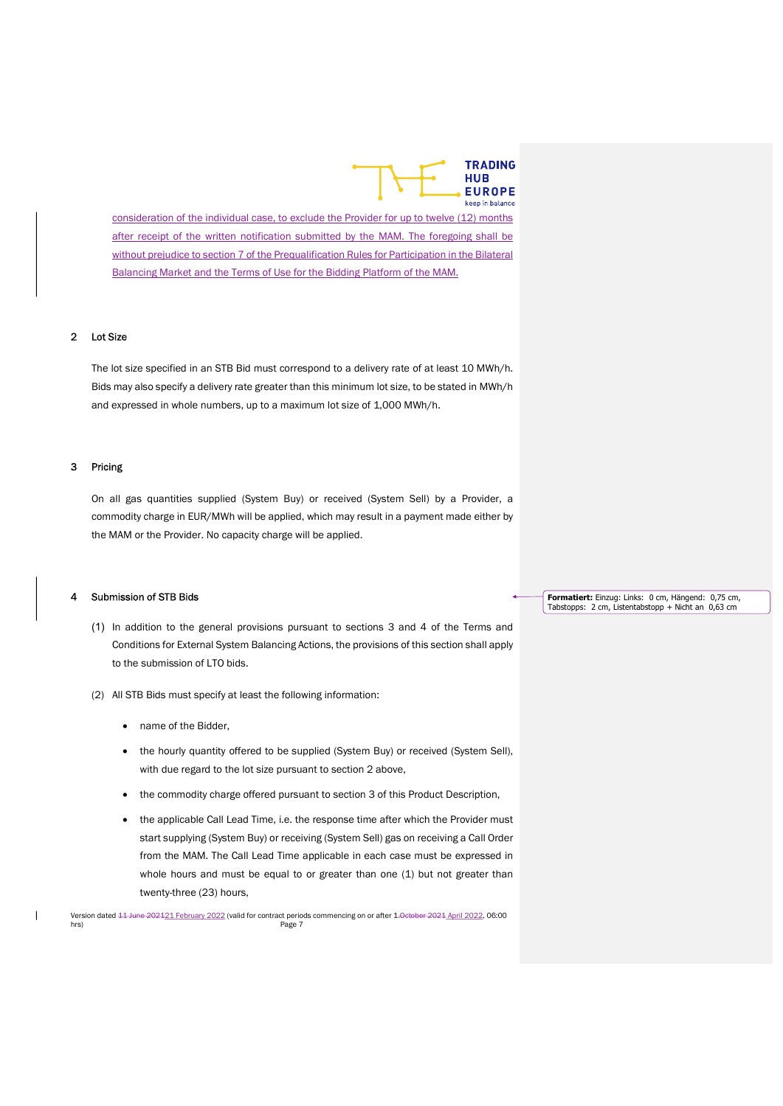

consideration of the individual case, to exclude the Provider for up to twelve (12) months after receipt of the written notification submitted by the MAM. The foregoing shall be without prejudice to section 7 of the Prequalification Rules for Participation in the Bilateral Balancing Market and the Terms of Use for the Bidding Platform of the MAM.

## 2 Lot Size

The lot size specified in an STB Bid must correspond to a delivery rate of at least 10 MWh/h. Bids may also specify a delivery rate greater than this minimum lot size, to be stated in MWh/h and expressed in whole numbers, up to a maximum lot size of 1,000 MWh/h.

#### 3 Pricing

On all gas quantities supplied (System Buy) or received (System Sell) by a Provider, a commodity charge in EUR/MWh will be applied, which may result in a payment made either by the MAM or the Provider. No capacity charge will be applied.

#### 4 Submission of STB Bids

- (1) In addition to the general provisions pursuant to sections 3 and 4 of the Terms and Conditions for External System Balancing Actions, the provisions of this section shall apply to the submission of LTO bids.
- (2) All STB Bids must specify at least the following information:
	- name of the Bidder,
	- the hourly quantity offered to be supplied (System Buy) or received (System Sell), with due regard to the lot size pursuant to section 2 above,
	- the commodity charge offered pursuant to section 3 of this Product Description,
	- the applicable Call Lead Time, i.e. the response time after which the Provider must start supplying (System Buy) or receiving (System Sell) gas on receiving a Call Order from the MAM. The Call Lead Time applicable in each case must be expressed in whole hours and must be equal to or greater than one (1) but not greater than twenty-three (23) hours,

Formatiert: Einzug: Links: 0 cm, Hängend: 0,75 cm, Tabstopps: 2 cm, Listentabstopp + Nicht an 0,63 cm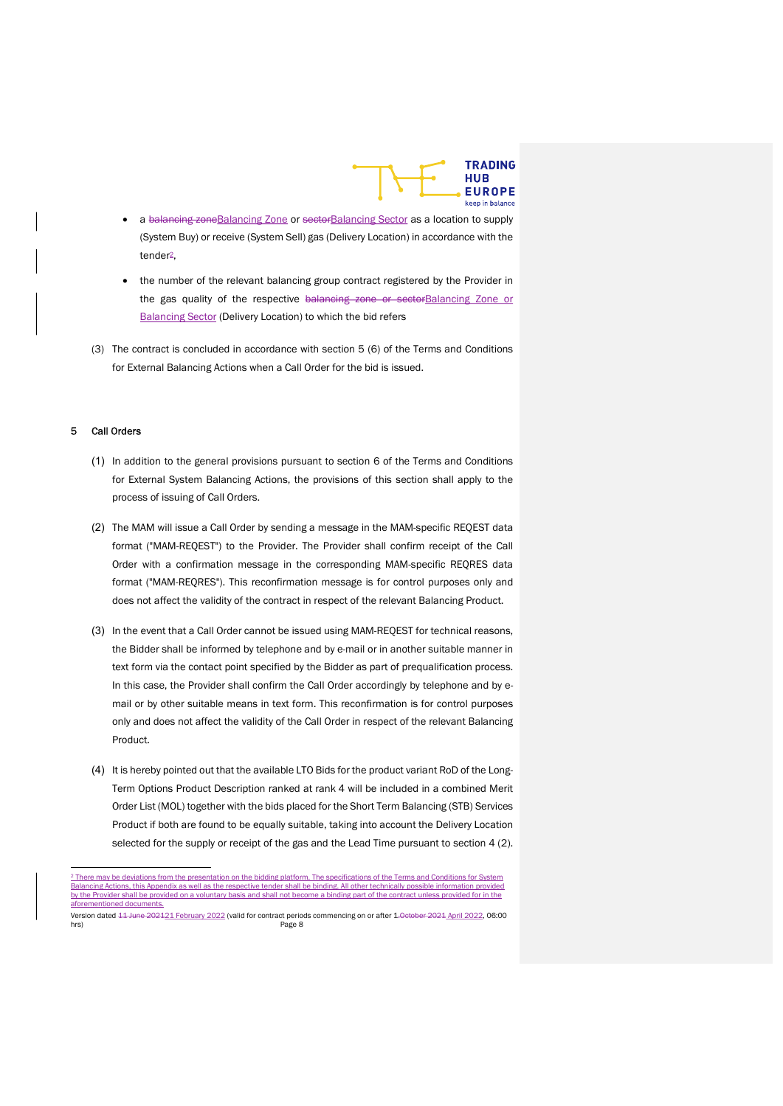

- a balancing zone Balancing Zone or sector Balancing Sector as a location to supply (System Buy) or receive (System Sell) gas (Delivery Location) in accordance with the tender2,
- the number of the relevant balancing group contract registered by the Provider in the gas quality of the respective balancing zone or sectorBalancing Zone or Balancing Sector (Delivery Location) to which the bid refers
- (3) The contract is concluded in accordance with section 5 (6) of the Terms and Conditions for External Balancing Actions when a Call Order for the bid is issued.

#### 5 Call Orders

- (1) In addition to the general provisions pursuant to section 6 of the Terms and Conditions for External System Balancing Actions, the provisions of this section shall apply to the process of issuing of Call Orders.
- (2) The MAM will issue a Call Order by sending a message in the MAM-specific REQEST data format ("MAM-REQEST") to the Provider. The Provider shall confirm receipt of the Call Order with a confirmation message in the corresponding MAM-specific REQRES data format ("MAM-REQRES"). This reconfirmation message is for control purposes only and does not affect the validity of the contract in respect of the relevant Balancing Product.
- (3) In the event that a Call Order cannot be issued using MAM-REQEST for technical reasons, the Bidder shall be informed by telephone and by e-mail or in another suitable manner in text form via the contact point specified by the Bidder as part of prequalification process. In this case, the Provider shall confirm the Call Order accordingly by telephone and by email or by other suitable means in text form. This reconfirmation is for control purposes only and does not affect the validity of the Call Order in respect of the relevant Balancing Product.
- (4) It is hereby pointed out that the available LTO Bids for the product variant RoD of the Long-Term Options Product Description ranked at rank 4 will be included in a combined Merit Order List (MOL) together with the bids placed for the Short Term Balancing (STB) Services Product if both are found to be equally suitable, taking into account the Delivery Location selected for the supply or receipt of the gas and the Lead Time pursuant to section 4 (2).

<sup>&</sup>lt;sup>2</sup> There may be deviations from the presentation on the bidding platform. The specifications of the Terms and Conditions for System Balancing Actions, this Appendix as well as the respective tender shall be binding. All other technically possible information provided by the Provider shall be provided on a voluntary basis and shall not become a binding part of the contract unless provided for in the afore

Version dated <del>11 June 202121 February 2022</del> (valid for contract periods commencing on or after 1.0-etober 2021 April 2022, 06:00 Page 8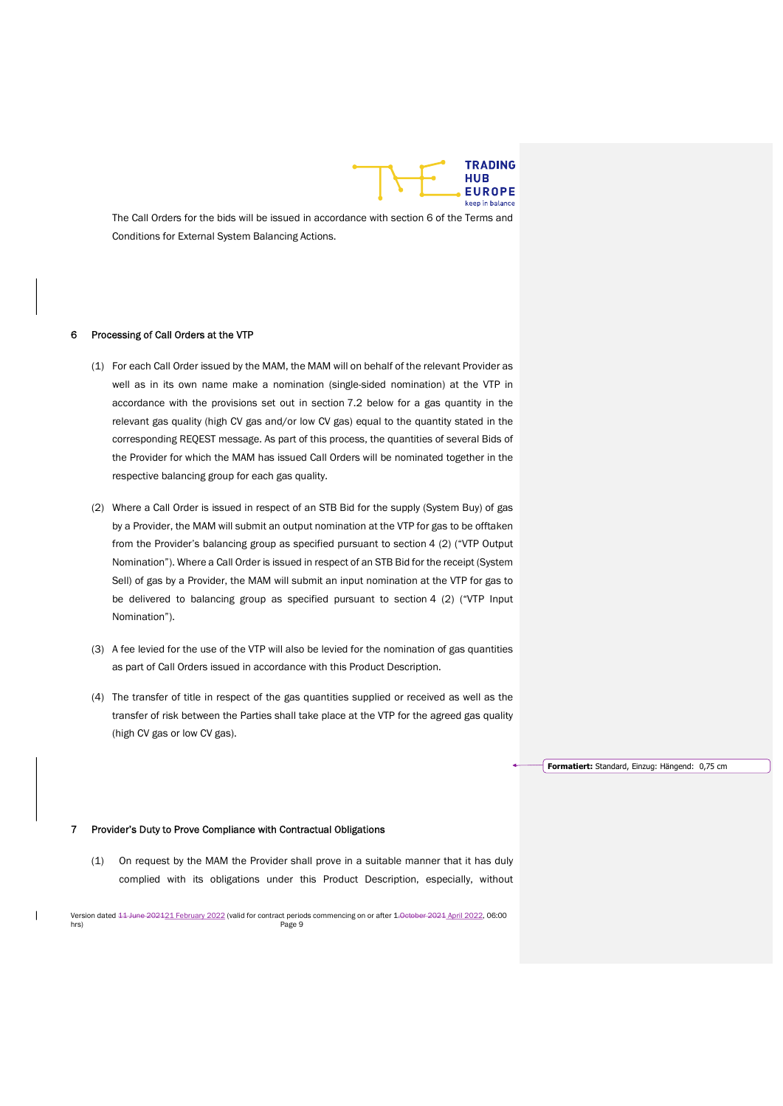

The Call Orders for the bids will be issued in accordance with section 6 of the Terms and Conditions for External System Balancing Actions.

#### 6 Processing of Call Orders at the VTP

- (1) For each Call Order issued by the MAM, the MAM will on behalf of the relevant Provider as well as in its own name make a nomination (single-sided nomination) at the VTP in accordance with the provisions set out in section 7.2 below for a gas quantity in the relevant gas quality (high CV gas and/or low CV gas) equal to the quantity stated in the corresponding REQEST message. As part of this process, the quantities of several Bids of the Provider for which the MAM has issued Call Orders will be nominated together in the respective balancing group for each gas quality.
- (2) Where a Call Order is issued in respect of an STB Bid for the supply (System Buy) of gas by a Provider, the MAM will submit an output nomination at the VTP for gas to be offtaken from the Provider's balancing group as specified pursuant to section 4 (2) ("VTP Output Nomination"). Where a Call Order is issued in respect of an STB Bid for the receipt (System Sell) of gas by a Provider, the MAM will submit an input nomination at the VTP for gas to be delivered to balancing group as specified pursuant to section 4 (2) ("VTP Input Nomination").
- (3) A fee levied for the use of the VTP will also be levied for the nomination of gas quantities as part of Call Orders issued in accordance with this Product Description.
- (4) The transfer of title in respect of the gas quantities supplied or received as well as the transfer of risk between the Parties shall take place at the VTP for the agreed gas quality (high CV gas or low CV gas).

Formatiert: Standard, Einzug: Hängend: 0,75 cm

#### 7 Provider's Duty to Prove Compliance with Contractual Obligations

(1) On request by the MAM the Provider shall prove in a suitable manner that it has duly complied with its obligations under this Product Description, especially, without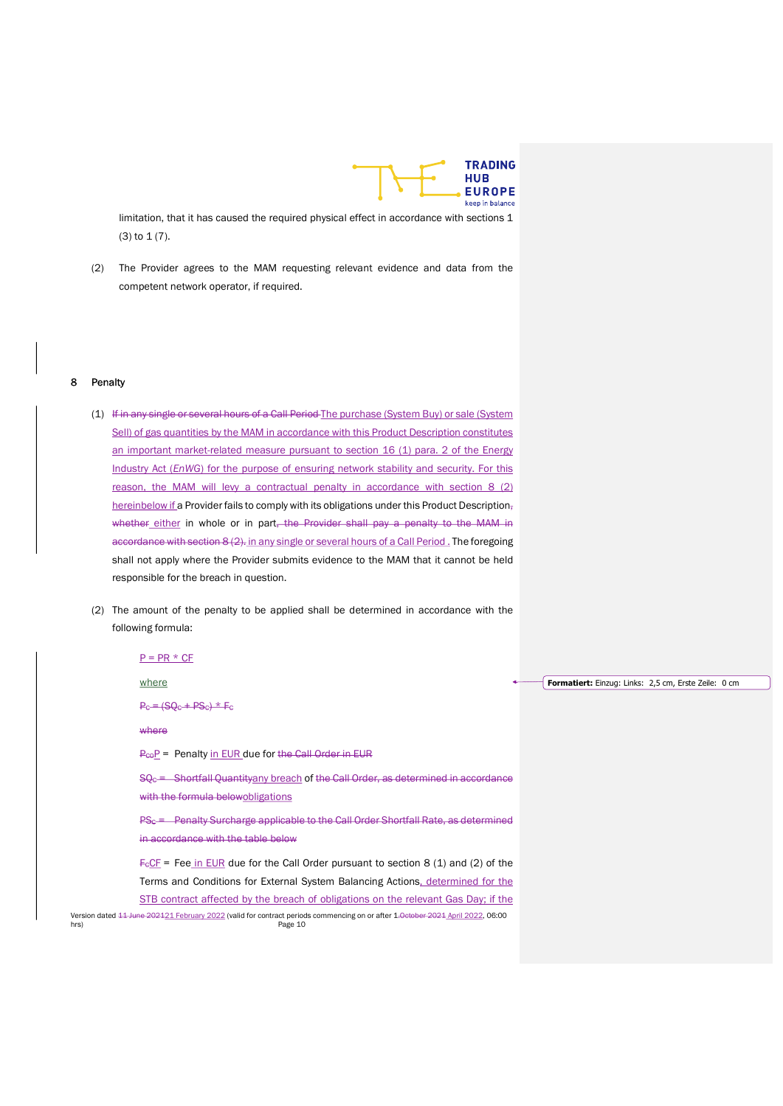

limitation, that it has caused the required physical effect in accordance with sections 1 (3) to 1 (7).

(2) The Provider agrees to the MAM requesting relevant evidence and data from the competent network operator, if required.

#### 8 Penalty

- (1) If in any single or several hours of a Call Period The purchase (System Buy) or sale (System Sell) of gas quantities by the MAM in accordance with this Product Description constitutes an important market-related measure pursuant to section 16 (1) para. 2 of the Energy Industry Act (EnWG) for the purpose of ensuring network stability and security. For this reason, the MAM will levy a contractual penalty in accordance with section 8 (2) hereinbelow if a Provider fails to comply with its obligations under this Product Description, whether either in whole or in part, the Provider shall pay a penalty to the MAM in accordance with section 8 (2). in any single or several hours of a Call Period. The foregoing shall not apply where the Provider submits evidence to the MAM that it cannot be held responsible for the breach in question.
- (2) The amount of the penalty to be applied shall be determined in accordance with the following formula:

 $P = PR * CF$ 

where

 $Pc = (SQc + PSc) * Fc$ 

#### where

 $P_{CO}P$  = Penalty in EUR due for the Call Order in EUR

 $SQ<sub>c</sub> =$  Shortfall Quantityany breach of the Call Order, as determined in accordance with the formula belowobligations

PS<sub>C</sub> = Penalty Surcharge applicable to the Call Order Shortfall Rate, as determined in accordance with the table below

 $F<sub>c</sub>CF$  = Fee in EUR due for the Call Order pursuant to section 8 (1) and (2) of the Terms and Conditions for External System Balancing Actions, determined for the STB contract affected by the breach of obligations on the relevant Gas Day; if the

Version dated <del>11 June 202121 February 2022</del> (valid for contract periods commencing on or after 1.0ctober 2021 April 2022, 06:00 hrs) Page 10

**Formatiert:** Einzug: Links: 2,5 cm, Erste Zeile: 0 cm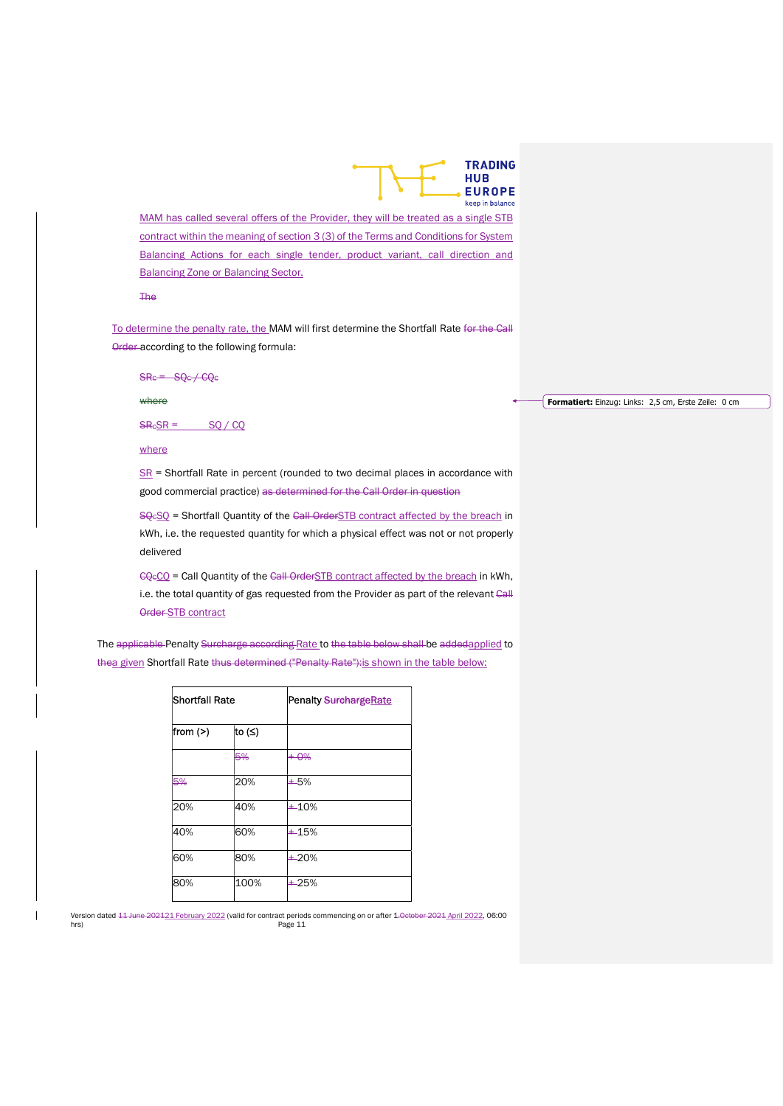

MAM has called several offers of the Provider, they will be treated as a single STB contract within the meaning of section 3 (3) of the Terms and Conditions for System Balancing Actions for each single tender, product variant, call direction and **Balancing Zone or Balancing Sector.** 

The

To determine the penalty rate, the MAM will first determine the Shortfall Rate for the Call Order according to the following formula:

 $S$ Rc =  $S$ Qc / CQc

where

 $S$ R $\epsilon$ SR = SQ / CQ

#### where

 $S<sub>R</sub>$  = Shortfall Rate in percent (rounded to two decimal places in accordance with good commercial practice) as determined for the Call Order in question

SQ<sub>c</sub>SQ = Shortfall Quantity of the Call OrderSTB contract affected by the breach in kWh, i.e. the requested quantity for which a physical effect was not or not properly delivered

CQ<sub>c</sub>CQ = Call Quantity of the Call OrderSTB contract affected by the breach in kWh, i.e. the total quantity of gas requested from the Provider as part of the relevant Call Order STB contract

The applicable Penalty Surcharge according Rate to the table below shall be addedapplied to thea given Shortfall Rate thus determined ("Penalty Rate"): is shown in the table below:

| <b>Shortfall Rate</b> |        | <b>Penalty SurchargeRate</b> |
|-----------------------|--------|------------------------------|
| from $(>)$            | to (≤) |                              |
|                       | 5%     | $+0\%$                       |
| 5%                    | 20%    | $+5%$                        |
| 20%                   | 40%    | $+10%$                       |
| 40%                   | 60%    | $+15%$                       |
| 60%                   | 80%    | $+20%$                       |
| 80%                   | 100%   | $+25%$                       |

Version dated <del>11 June 202121 February 2022</del> (valid for contract periods commencing on or after 1.0ctober 2021 April 2022, 06:00 hrs) Page 11

#### Formatiert: Einzug: Links: 2,5 cm, Erste Zeile: 0 cm